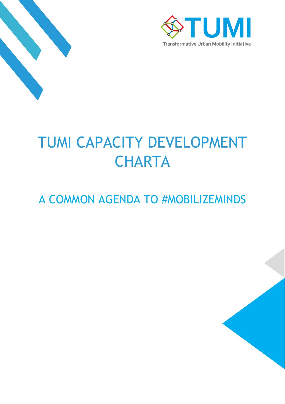



# TUMI CAPACITY DEVELOPMENT **CHARTA**

# A COMMON AGENDA TO #MOBILIZEMINDS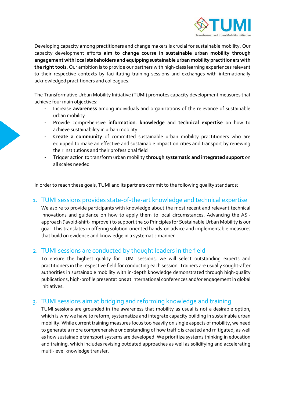

Developing capacity among practitioners and change makers is crucial for sustainable mobility. Our capacity development efforts **aim to change course in sustainable urban mobility through engagement with local stakeholders and equipping sustainable urban mobility practitioners with the right tools**. Our ambition is to provide our partners with high-class learning experiences relevant to their respective contexts by facilitating training sessions and exchanges with internationally acknowledged practitioners and colleagues.

The Transformative Urban Mobility Initiative (TUMI) promotes capacity development measures that achieve four main objectives:

- Increase **awareness** among individuals and organizations of the relevance of sustainable urban mobility
- Provide comprehensive **information**, **knowledge** and **technical expertise** on how to achieve sustainability in urban mobility
- **Create a community** of committed sustainable urban mobility practitioners who are equipped to make an effective and sustainable impact on cities and transport by renewing their institutions and their professional field
- Trigger action to transform urban mobility **through systematic and integrated support** on all scales needed

In order to reach these goals, TUMI and its partners commit to the following quality standards:

#### 1. TUMI sessions provides state-of-the-art knowledge and technical expertise

We aspire to provide participants with knowledge about the most recent and relevant technical innovations and guidance on how to apply them to local circumstances. Advancing the ASIapproach ('avoid-shift-improve') to support the 10 Principles for Sustainable Urban Mobility is our goal. This translates in offering solution-oriented hands-on advice and implementable measures that build on evidence and knowledge in a systematic manner.

# 2. TUMI sessions are conducted by thought leaders in the field

To ensure the highest quality for TUMI sessions, we will select outstanding experts and practitioners in the respective field for conducting each session. Trainers are usually sought-after authorities in sustainable mobility with in-depth knowledge demonstrated through high-quality publications, high-profile presentations at international conferences and/or engagement in global initiatives.

# 3. TUMI sessions aim at bridging and reforming knowledge and training

TUMI sessions are grounded in the awareness that mobility as usual is not a desirable option, which is why we have to reform, systematize and integrate capacity building in sustainable urban mobility. While current training measures focus too heavily on single aspects of mobility, we need to generate a more comprehensive understanding of how traffic is created and mitigated, as well as how sustainable transport systems are developed. We prioritize systems thinking in education and training, which includes revising outdated approaches as well as solidifying and accelerating multi-level knowledge transfer.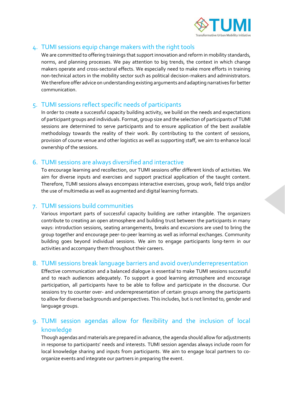

# 4. TUMI sessions equip change makers with the right tools

We are committed to offering trainings that support innovation and reform in mobility standards, norms, and planning processes. We pay attention to big trends, the context in which change makers operate and cross-sectoral effects. We especially need to make more efforts in training non-technical actors in the mobility sector such as political decision-makers and administrators. We therefore offer advice on understanding existing arguments and adapting narratives for better communication.

# 5. TUMI sessions reflect specific needs of participants

In order to create a successful capacity building activity, we build on the needs and expectations of participant groups and individuals. Format, group size and the selection of participants of TUMI sessions are determined to serve participants and to ensure application of the best available methodology towards the reality of their work. By contributing to the content of sessions, provision of course venue and other logistics as well as supporting staff, we aim to enhance local ownership of the sessions.

#### 6. TUMI sessions are always diversified and interactive

To encourage learning and recollection, our TUMI sessions offer different kinds of activities. We aim for diverse inputs and exercises and support practical application of the taught content. Therefore, TUMI sessions always encompass interactive exercises, group work, field trips and/or the use of multimedia as well as augmented and digital learning formats.

# 7. TUMI sessions build communities

Various important parts of successful capacity building are rather intangible. The organizers contribute to creating an open atmosphere and building trust between the participants in many ways: introduction sessions, seating arrangements, breaks and excursions are used to bring the group together and encourage peer-to-peer learning as well as informal exchanges. Community building goes beyond individual sessions. We aim to engage participants long-term in our activities and accompany them throughout their careers.

# 8. TUMI sessions break language barriers and avoid over/underrepresentation

Effective communication and a balanced dialogue is essential to make TUMI sessions successful and to reach audiences adequately. To support a good learning atmosphere and encourage participation, all participants have to be able to follow and participate in the discourse. Our sessions try to counter over- and underrepresentation of certain groups among the participants to allow for diverse backgrounds and perspectives. This includes, but is not limited to, gender and language groups.

# 9. TUMI session agendas allow for flexibility and the inclusion of local knowledge

Though agendas and materials are prepared in advance, the agenda should allow for adjustments in response to participants' needs and interests. TUMI session agendas always include room for local knowledge sharing and inputs from participants. We aim to engage local partners to coorganize events and integrate our partners in preparing the event.